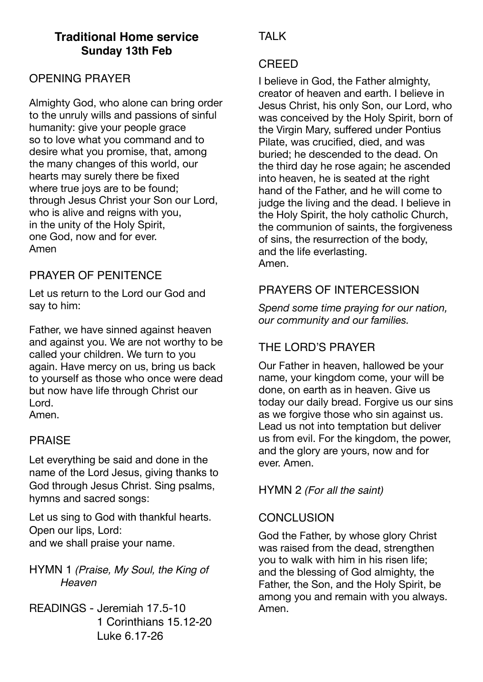# **Traditional Home service Sunday 13th Feb**

### OPENING PRAYER

Almighty God, who alone can bring order to the unruly wills and passions of sinful humanity: give your people grace so to love what you command and to desire what you promise, that, among the many changes of this world, our hearts may surely there be fixed where true joys are to be found; through Jesus Christ your Son our Lord, who is alive and reigns with you, in the unity of the Holy Spirit, one God, now and for ever. Amen

# PRAYER OF PENITENCE

Let us return to the Lord our God and say to him:

Father, we have sinned against heaven and against you. We are not worthy to be called your children. We turn to you again. Have mercy on us, bring us back to yourself as those who once were dead but now have life through Christ our Lord. Amen.

#### PRAISE

Let everything be said and done in the name of the Lord Jesus, giving thanks to God through Jesus Christ. Sing psalms, hymns and sacred songs:

Let us sing to God with thankful hearts. Open our lips, Lord: and we shall praise your name.

HYMN 1 *(Praise, My Soul, the King of Heaven*

READINGS - Jeremiah 17.5-10 1 Corinthians 15.12-20 Luke 6.17-26

# **TAI K**

#### CREED

I believe in God, the Father almighty, creator of heaven and earth. I believe in Jesus Christ, his only Son, our Lord, who was conceived by the Holy Spirit, born of the Virgin Mary, suffered under Pontius Pilate, was crucified, died, and was buried; he descended to the dead. On the third day he rose again; he ascended into heaven, he is seated at the right hand of the Father, and he will come to judge the living and the dead. I believe in the Holy Spirit, the holy catholic Church, the communion of saints, the forgiveness of sins, the resurrection of the body, and the life everlasting. Amen.

### PRAYERS OF INTERCESSION

*Spend some time praying for our nation, our community and our families.* 

# THE LORD'S PRAYER

Our Father in heaven, hallowed be your name, your kingdom come, your will be done, on earth as in heaven. Give us today our daily bread. Forgive us our sins as we forgive those who sin against us. Lead us not into temptation but deliver us from evil. For the kingdom, the power, and the glory are yours, now and for ever. Amen.

HYMN 2 *(For all the saint)*

#### **CONCLUSION**

God the Father, by whose glory Christ was raised from the dead, strengthen you to walk with him in his risen life; and the blessing of God almighty, the Father, the Son, and the Holy Spirit, be among you and remain with you always. Amen.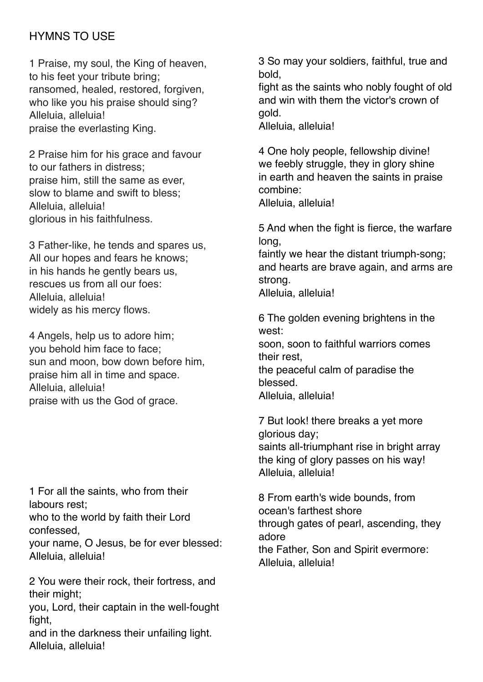## HYMNS TO USE

1 Praise, my soul, the King of heaven, to his feet your tribute bring; ransomed, healed, restored, forgiven, who like you his praise should sing? Alleluia, alleluia! praise the everlasting King.

2 Praise him for his grace and favour to our fathers in distress; praise him, still the same as ever, slow to blame and swift to bless; Alleluia, alleluia! glorious in his faithfulness.

3 Father-like, he tends and spares us, All our hopes and fears he knows; in his hands he gently bears us, rescues us from all our foes: Alleluia, alleluia! widely as his mercy flows.

4 Angels, help us to adore him; you behold him face to face; sun and moon, bow down before him, praise him all in time and space. Alleluia, alleluia! praise with us the God of grace.

1 For all the saints, who from their labours rest; who to the world by faith their Lord

confessed,

your name, O Jesus, be for ever blessed: Alleluia, alleluia!

2 You were their rock, their fortress, and their might;

you, Lord, their captain in the well-fought fight,

and in the darkness their unfailing light. Alleluia, alleluia!

3 So may your soldiers, faithful, true and bold,

fight as the saints who nobly fought of old and win with them the victor's crown of gold.

Alleluia, alleluia!

4 One holy people, fellowship divine! we feebly struggle, they in glory shine in earth and heaven the saints in praise combine: Alleluia, alleluia!

5 And when the fight is fierce, the warfare long,

faintly we hear the distant triumph-song; and hearts are brave again, and arms are strong.

Alleluia, alleluia!

6 The golden evening brightens in the west: soon, soon to faithful warriors comes

their rest,

the peaceful calm of paradise the blessed.

Alleluia, alleluia!

7 But look! there breaks a yet more glorious day; saints all-triumphant rise in bright array the king of glory passes on his way! Alleluia, alleluia!

8 From earth's wide bounds, from ocean's farthest shore through gates of pearl, ascending, they adore the Father, Son and Spirit evermore: Alleluia, alleluia!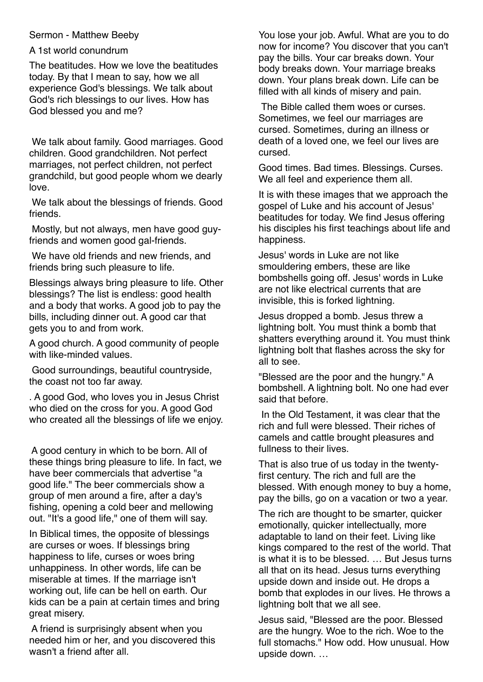#### Sermon - Matthew Beeby

#### A 1st world conundrum

The beatitudes. How we love the beatitudes today. By that I mean to say, how we all experience God's blessings. We talk about God's rich blessings to our lives. How has God blessed you and me?

 We talk about family. Good marriages. Good children. Good grandchildren. Not perfect marriages, not perfect children, not perfect grandchild, but good people whom we dearly love.

 We talk about the blessings of friends. Good friends.

 Mostly, but not always, men have good guyfriends and women good gal-friends.

 We have old friends and new friends, and friends bring such pleasure to life.

Blessings always bring pleasure to life. Other blessings? The list is endless: good health and a body that works. A good job to pay the bills, including dinner out. A good car that gets you to and from work.

A good church. A good community of people with like-minded values.

 Good surroundings, beautiful countryside, the coast not too far away.

. A good God, who loves you in Jesus Christ who died on the cross for you. A good God who created all the blessings of life we enjoy.

 A good century in which to be born. All of these things bring pleasure to life. In fact, we have beer commercials that advertise "a good life." The beer commercials show a group of men around a fire, after a day's fishing, opening a cold beer and mellowing out. "It's a good life," one of them will say.

In Biblical times, the opposite of blessings are curses or woes. If blessings bring happiness to life, curses or woes bring unhappiness. In other words, life can be miserable at times. If the marriage isn't working out, life can be hell on earth. Our kids can be a pain at certain times and bring great misery.

 A friend is surprisingly absent when you needed him or her, and you discovered this wasn't a friend after all.

You lose your job. Awful. What are you to do now for income? You discover that you can't pay the bills. Your car breaks down. Your body breaks down. Your marriage breaks down. Your plans break down. Life can be filled with all kinds of misery and pain.

 The Bible called them woes or curses. Sometimes, we feel our marriages are cursed. Sometimes, during an illness or death of a loved one, we feel our lives are cursed.

Good times. Bad times. Blessings. Curses. We all feel and experience them all.

It is with these images that we approach the gospel of Luke and his account of Jesus' beatitudes for today. We find Jesus offering his disciples his first teachings about life and happiness.

Jesus' words in Luke are not like smouldering embers, these are like bombshells going off. Jesus' words in Luke are not like electrical currents that are invisible, this is forked lightning.

Jesus dropped a bomb. Jesus threw a lightning bolt. You must think a bomb that shatters everything around it. You must think lightning bolt that flashes across the sky for all to see.

"Blessed are the poor and the hungry." A bombshell. A lightning bolt. No one had ever said that before.

 In the Old Testament, it was clear that the rich and full were blessed. Their riches of camels and cattle brought pleasures and fullness to their lives.

That is also true of us today in the twentyfirst century. The rich and full are the blessed. With enough money to buy a home, pay the bills, go on a vacation or two a year.

The rich are thought to be smarter, quicker emotionally, quicker intellectually, more adaptable to land on their feet. Living like kings compared to the rest of the world. That is what it is to be blessed. … But Jesus turns all that on its head. Jesus turns everything upside down and inside out. He drops a bomb that explodes in our lives. He throws a lightning bolt that we all see.

Jesus said, "Blessed are the poor. Blessed are the hungry. Woe to the rich. Woe to the full stomachs." How odd. How unusual. How upside down. …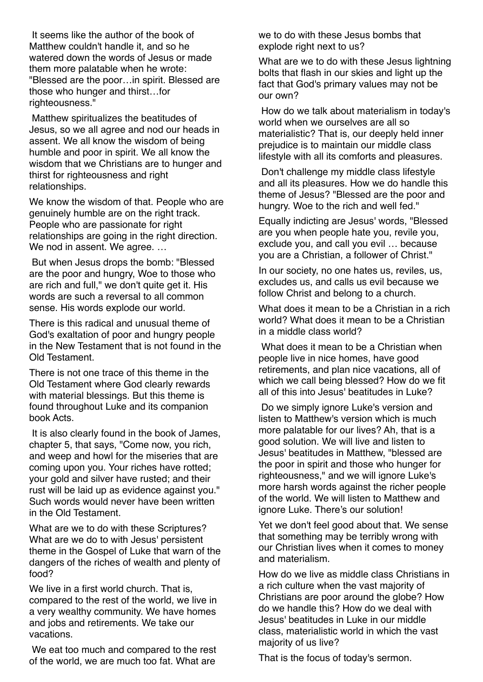It seems like the author of the book of Matthew couldn't handle it, and so he watered down the words of Jesus or made them more palatable when he wrote: "Blessed are the poor…in spirit. Blessed are those who hunger and thirst…for righteousness."

 Matthew spiritualizes the beatitudes of Jesus, so we all agree and nod our heads in assent. We all know the wisdom of being humble and poor in spirit. We all know the wisdom that we Christians are to hunger and thirst for righteousness and right relationships.

We know the wisdom of that. People who are genuinely humble are on the right track. People who are passionate for right relationships are going in the right direction. We nod in assent. We agree. ...

 But when Jesus drops the bomb: "Blessed are the poor and hungry, Woe to those who are rich and full," we don't quite get it. His words are such a reversal to all common sense. His words explode our world.

There is this radical and unusual theme of God's exaltation of poor and hungry people in the New Testament that is not found in the Old Testament.

There is not one trace of this theme in the Old Testament where God clearly rewards with material blessings. But this theme is found throughout Luke and its companion book Acts.

 It is also clearly found in the book of James, chapter 5, that says, "Come now, you rich, and weep and howl for the miseries that are coming upon you. Your riches have rotted; your gold and silver have rusted; and their rust will be laid up as evidence against you." Such words would never have been written in the Old Testament.

What are we to do with these Scriptures? What are we do to with Jesus' persistent theme in the Gospel of Luke that warn of the dangers of the riches of wealth and plenty of food?

We live in a first world church. That is, compared to the rest of the world, we live in a very wealthy community. We have homes and jobs and retirements. We take our vacations.

 We eat too much and compared to the rest of the world, we are much too fat. What are

we to do with these Jesus bombs that explode right next to us?

What are we to do with these Jesus lightning bolts that flash in our skies and light up the fact that God's primary values may not be our own?

 How do we talk about materialism in today's world when we ourselves are all so materialistic? That is, our deeply held inner prejudice is to maintain our middle class lifestyle with all its comforts and pleasures.

 Don't challenge my middle class lifestyle and all its pleasures. How we do handle this theme of Jesus? "Blessed are the poor and hungry. Woe to the rich and well fed."

Equally indicting are Jesus' words, "Blessed are you when people hate you, revile you, exclude you, and call you evil … because you are a Christian, a follower of Christ."

In our society, no one hates us, reviles, us, excludes us, and calls us evil because we follow Christ and belong to a church.

What does it mean to be a Christian in a rich world? What does it mean to be a Christian in a middle class world?

 What does it mean to be a Christian when people live in nice homes, have good retirements, and plan nice vacations, all of which we call being blessed? How do we fit all of this into Jesus' beatitudes in Luke?

 Do we simply ignore Luke's version and listen to Matthew's version which is much more palatable for our lives? Ah, that is a good solution. We will live and listen to Jesus' beatitudes in Matthew, "blessed are the poor in spirit and those who hunger for righteousness," and we will ignore Luke's more harsh words against the richer people of the world. We will listen to Matthew and ignore Luke. There's our solution!

Yet we don't feel good about that. We sense that something may be terribly wrong with our Christian lives when it comes to money and materialism.

How do we live as middle class Christians in a rich culture when the vast majority of Christians are poor around the globe? How do we handle this? How do we deal with Jesus' beatitudes in Luke in our middle class, materialistic world in which the vast majority of us live?

That is the focus of today's sermon.